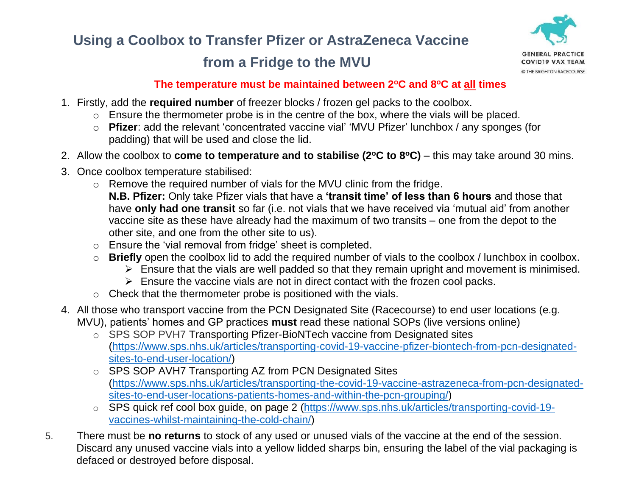# **Using a Coolbox to Transfer Pfizer or AstraZeneca Vaccine**

## **from a Fridge to the MVU**



### **The temperature must be maintained between 2<sup>o</sup>C and 8<sup>o</sup>C at all times**

- 1. Firstly, add the **required number** of freezer blocks / frozen gel packs to the coolbox.
	- o Ensure the thermometer probe is in the centre of the box, where the vials will be placed.
	- o **Pfizer**: add the relevant 'concentrated vaccine vial' 'MVU Pfizer' lunchbox / any sponges (for padding) that will be used and close the lid.
- 2. Allow the coolbox to **come to temperature and to stabilise (2<sup>o</sup>C to 8<sup>o</sup>C)** this may take around 30 mins.
- 3. Once coolbox temperature stabilised:
	- o Remove the required number of vials for the MVU clinic from the fridge.

**N.B. Pfizer:** Only take Pfizer vials that have a **'transit time' of less than 6 hours** and those that have **only had one transit** so far (i.e. not vials that we have received via 'mutual aid' from another vaccine site as these have already had the maximum of two transits – one from the depot to the other site, and one from the other site to us).

- o Ensure the 'vial removal from fridge' sheet is completed.
- o **Briefly** open the coolbox lid to add the required number of vials to the coolbox / lunchbox in coolbox.
	- ➢ Ensure that the vials are well padded so that they remain upright and movement is minimised.
	- $\triangleright$  Ensure the vaccine vials are not in direct contact with the frozen cool packs.
- $\circ$  Check that the thermometer probe is positioned with the vials.
- 4. All those who transport vaccine from the PCN Designated Site (Racecourse) to end user locations (e.g. MVU), patients' homes and GP practices **must** read these national SOPs (live versions online)
	- o SPS SOP PVH7 Transporting Pfizer-BioNTech vaccine from Designated sites [\(https://www.sps.nhs.uk/articles/transporting-covid-19-vaccine-pfizer-biontech-from-pcn-designated](https://www.sps.nhs.uk/articles/transporting-covid-19-vaccine-pfizer-biontech-from-pcn-designated-sites-to-end-user-location/)[sites-to-end-user-location/\)](https://www.sps.nhs.uk/articles/transporting-covid-19-vaccine-pfizer-biontech-from-pcn-designated-sites-to-end-user-location/)
	- o SPS SOP AVH7 Transporting AZ from PCN Designated Sites [\(https://www.sps.nhs.uk/articles/transporting-the-covid-19-vaccine-astrazeneca-from-pcn-designated](https://www.sps.nhs.uk/articles/transporting-the-covid-19-vaccine-astrazeneca-from-pcn-designated-sites-to-end-user-locations-patients-homes-and-within-the-pcn-grouping/)[sites-to-end-user-locations-patients-homes-and-within-the-pcn-grouping/\)](https://www.sps.nhs.uk/articles/transporting-the-covid-19-vaccine-astrazeneca-from-pcn-designated-sites-to-end-user-locations-patients-homes-and-within-the-pcn-grouping/)
	- o SPS quick ref cool box guide, on page 2 [\(https://www.sps.nhs.uk/articles/transporting-covid-19](https://www.sps.nhs.uk/articles/transporting-covid-19-vaccines-whilst-maintaining-the-cold-chain/) [vaccines-whilst-maintaining-the-cold-chain/\)](https://www.sps.nhs.uk/articles/transporting-covid-19-vaccines-whilst-maintaining-the-cold-chain/)
- 5. There must be **no returns** to stock of any used or unused vials of the vaccine at the end of the session. Discard any unused vaccine vials into a yellow lidded sharps bin, ensuring the label of the vial packaging is defaced or destroyed before disposal.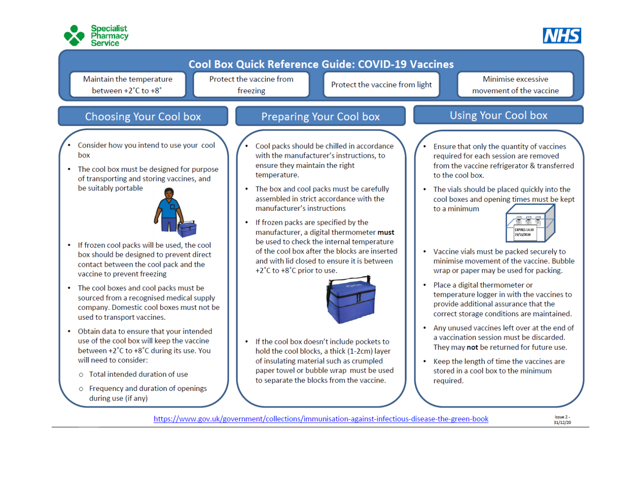



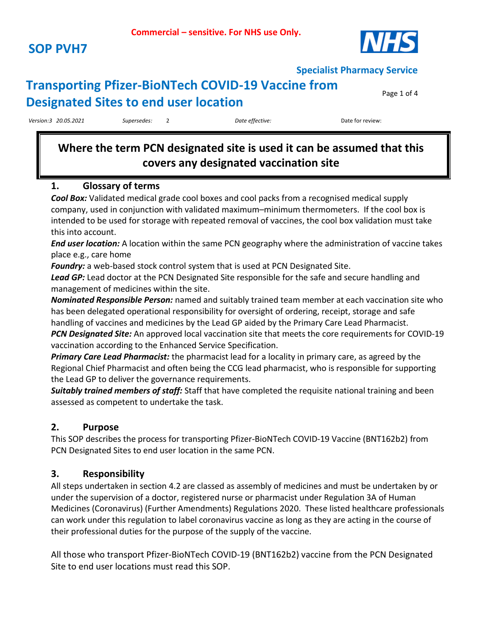

### **Transporting Pfizer-BioNTech COVID-19 Vaccine from Designated Sites to end user location**

Page 1 of 4

*Version:3 20.05.2021 Supersedes:* 2 *Date effective:* Date for review:

### **Where the term PCN designated site is used it can be assumed that this covers any designated vaccination site**

#### **1. Glossary of terms**

*Cool Box:* Validated medical grade cool boxes and cool packs from a recognised medical supply company, used in conjunction with validated maximum–minimum thermometers. If the cool box is intended to be used for storage with repeated removal of vaccines, the cool box validation must take this into account.

*End user location:* A location within the same PCN geography where the administration of vaccine takes place e.g., care home

*Foundry:* a web-based stock control system that is used at PCN Designated Site.

*Lead GP:* Lead doctor at the PCN Designated Site responsible for the safe and secure handling and management of medicines within the site.

*Nominated Responsible Person:* named and suitably trained team member at each vaccination site who has been delegated operational responsibility for oversight of ordering, receipt, storage and safe handling of vaccines and medicines by the Lead GP aided by the Primary Care Lead Pharmacist.

*PCN Designated Site:* An approved local vaccination site that meets the core requirements for COVID-19 vaccination according to the Enhanced Service Specification.

*Primary Care Lead Pharmacist:* the pharmacist lead for a locality in primary care, as agreed by the Regional Chief Pharmacist and often being the CCG lead pharmacist, who is responsible for supporting the Lead GP to deliver the governance requirements.

*Suitably trained members of staff:* Staff that have completed the requisite national training and been assessed as competent to undertake the task.

#### **2. Purpose**

This SOP describes the process for transporting Pfizer-BioNTech COVID-19 Vaccine (BNT162b2) from PCN Designated Sites to end user location in the same PCN.

#### **3. Responsibility**

All steps undertaken in section 4.2 are classed as assembly of medicines and must be undertaken by or under the supervision of a doctor, registered nurse or pharmacist under Regulation 3A of Human Medicines (Coronavirus) (Further Amendments) Regulations 2020. These listed healthcare professionals can work under this regulation to label coronavirus vaccine as long as they are acting in the course of their professional duties for the purpose of the supply of the vaccine.

All those who transport Pfizer-BioNTech COVID-19 (BNT162b2) vaccine from the PCN Designated Site to end user locations must read this SOP.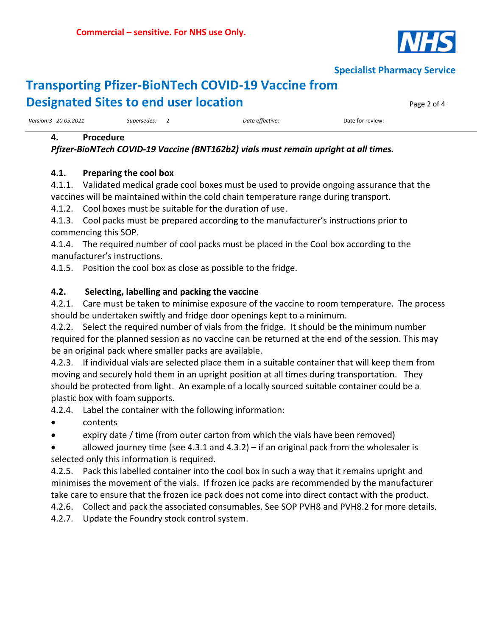

### **Transporting Pfizer-BioNTech COVID-19 Vaccine from Designated Sites to end user location Page 2 of 4** Page 2 of 4

*Version:3 20.05.2021 Supersedes:* 2 *Date effective:* Date for review:

#### **4. Procedure**

*Pfizer-BioNTech COVID-19 Vaccine (BNT162b2) vials must remain upright at all times.*

#### **4.1. Preparing the cool box**

4.1.1. Validated medical grade cool boxes must be used to provide ongoing assurance that the vaccines will be maintained within the cold chain temperature range during transport.

4.1.2. Cool boxes must be suitable for the duration of use.

4.1.3. Cool packs must be prepared according to the manufacturer's instructions prior to commencing this SOP.

4.1.4. The required number of cool packs must be placed in the Cool box according to the manufacturer's instructions.

4.1.5. Position the cool box as close as possible to the fridge.

#### **4.2. Selecting, labelling and packing the vaccine**

4.2.1. Care must be taken to minimise exposure of the vaccine to room temperature. The process should be undertaken swiftly and fridge door openings kept to a minimum.

4.2.2. Select the required number of vials from the fridge. It should be the minimum number required for the planned session as no vaccine can be returned at the end of the session. This may be an original pack where smaller packs are available.

4.2.3. If individual vials are selected place them in a suitable container that will keep them from moving and securely hold them in an upright position at all times during transportation. They should be protected from light. An example of a locally sourced suitable container could be a plastic box with foam supports.

4.2.4. Label the container with the following information:

- contents
- expiry date / time (from outer carton from which the vials have been removed)

allowed journey time (see 4.3.1 and 4.3.2) – if an original pack from the wholesaler is selected only this information is required.

4.2.5. Pack this labelled container into the cool box in such a way that it remains upright and minimises the movement of the vials. If frozen ice packs are recommended by the manufacturer take care to ensure that the frozen ice pack does not come into direct contact with the product.

4.2.6. Collect and pack the associated consumables. See SOP PVH8 and PVH8.2 for more details.

4.2.7. Update the Foundry stock control system.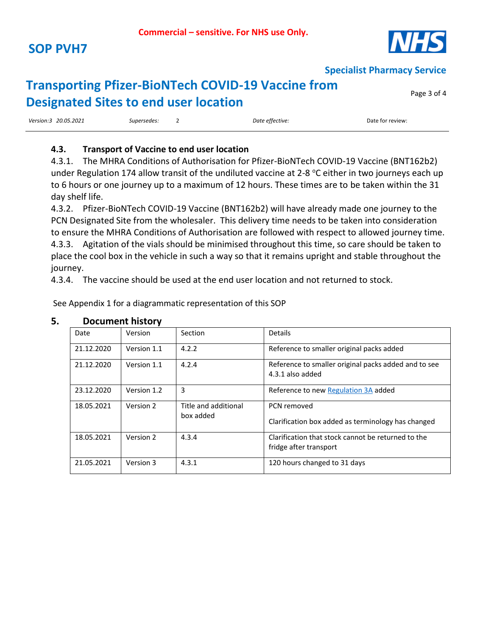

Page 3 of 4

**Specialist Pharmacy Service**

### **Transporting Pfizer-BioNTech COVID-19 Vaccine from Designated Sites to end user location**

| Version:3 20.05.2021<br>. | Supersedes:<br>. | Date ettective: | Date for review: |
|---------------------------|------------------|-----------------|------------------|
|                           |                  |                 |                  |

#### **4.3. Transport of Vaccine to end user location**

4.3.1. The MHRA Conditions of Authorisation for Pfizer-BioNTech COVID-19 Vaccine (BNT162b2) under Regulation 174 allow transit of the undiluted vaccine at 2-8  $^{\circ}$ C either in two journeys each up to 6 hours or one journey up to a maximum of 12 hours. These times are to be taken within the 31 day shelf life.

4.3.2. Pfizer-BioNTech COVID-19 Vaccine (BNT162b2) will have already made one journey to the PCN Designated Site from the wholesaler. This delivery time needs to be taken into consideration to ensure the MHRA Conditions of Authorisation are followed with respect to allowed journey time. 4.3.3. Agitation of the vials should be minimised throughout this time, so care should be taken to place the cool box in the vehicle in such a way so that it remains upright and stable throughout the journey.

4.3.4. The vaccine should be used at the end user location and not returned to stock.

See Appendix 1 for a diagrammatic representation of this SOP

|            | POCUITICITE THULOI V |                                   |                                                                              |
|------------|----------------------|-----------------------------------|------------------------------------------------------------------------------|
| Date       | Version              | Section                           | <b>Details</b>                                                               |
| 21.12.2020 | Version 1.1          | 4.2.2                             | Reference to smaller original packs added                                    |
| 21.12.2020 | Version 1.1          | 4.2.4                             | Reference to smaller original packs added and to see<br>4.3.1 also added     |
| 23.12.2020 | Version 1.2          | 3                                 | Reference to new Regulation 3A added                                         |
| 18.05.2021 | Version 2            | Title and additional<br>box added | PCN removed<br>Clarification box added as terminology has changed            |
| 18.05.2021 | Version 2            | 4.3.4                             | Clarification that stock cannot be returned to the<br>fridge after transport |
| 21.05.2021 | Version 3            | 4.3.1                             | 120 hours changed to 31 days                                                 |

#### **5. Document history**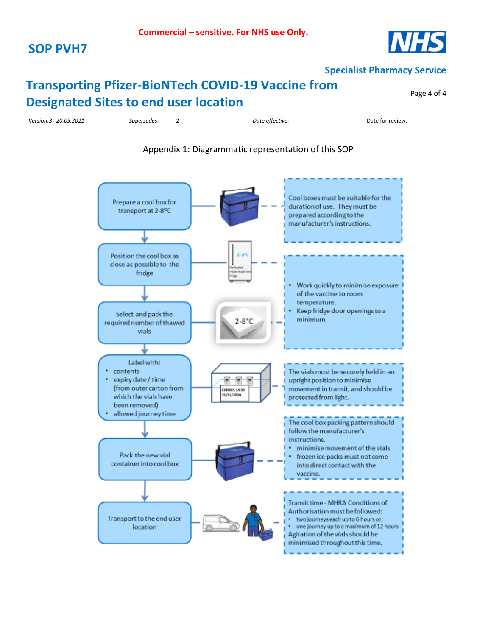### **SOP PVH7**



**Specialist Pharmacy Service**

### **Transporting Pfizer-BioNTech COVID-19 Vaccine from Designated Sites to end user location**

Page 4 of 4

*Version:3 20.05.2021 Supersedes:* 2 *Date effective:* Date for review:

#### Appendix 1: Diagrammatic representation of this SOP

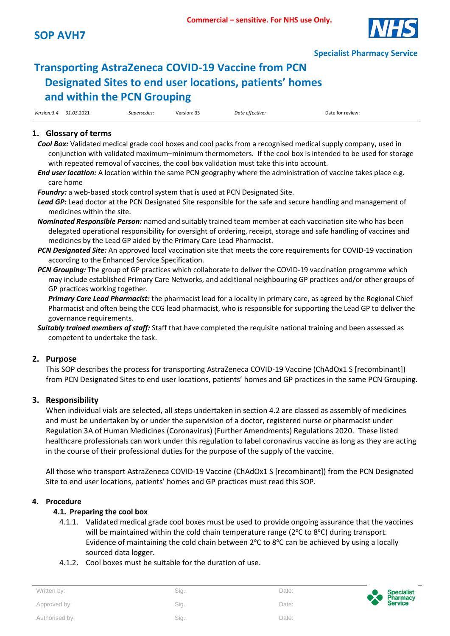

## **Transporting AstraZeneca COVID-19 Vaccine from PCN Designated Sites to end user locations, patients' homes and within the PCN Grouping**

|             |            |             | $\sim$ $\sim$ |                 |                  |
|-------------|------------|-------------|---------------|-----------------|------------------|
| Version:3.4 | 01.03.2021 | Supersedes: | Version: 33   | Date effective: | Date for review: |

### **1. Glossary of terms**

- *Cool Box:* Validated medical grade cool boxes and cool packs from a recognised medical supply company, used in conjunction with validated maximum–minimum thermometers. If the cool box is intended to be used for storage with repeated removal of vaccines, the cool box validation must take this into account.
- *End user location:* A location within the same PCN geography where the administration of vaccine takes place e.g. care home

*Foundry:* a web-based stock control system that is used at PCN Designated Site.

- *Lead GP:* Lead doctor at the PCN Designated Site responsible for the safe and secure handling and management of medicines within the site.
- *Nominated Responsible Person:* named and suitably trained team member at each vaccination site who has been delegated operational responsibility for oversight of ordering, receipt, storage and safe handling of vaccines and medicines by the Lead GP aided by the Primary Care Lead Pharmacist.
- *PCN Designated Site:* An approved local vaccination site that meets the core requirements for COVID-19 vaccination according to the Enhanced Service Specification.
- *PCN Grouping:* The group of GP practices which collaborate to deliver the COVID-19 vaccination programme which may include established Primary Care Networks, and additional neighbouring GP practices and/or other groups of GP practices working together.

*Primary Care Lead Pharmacist:* the pharmacist lead for a locality in primary care, as agreed by the Regional Chief Pharmacist and often being the CCG lead pharmacist, who is responsible for supporting the Lead GP to deliver the governance requirements.

*Suitably trained members of staff:* Staff that have completed the requisite national training and been assessed as competent to undertake the task.

#### **2. Purpose**

This SOP describes the process for transporting AstraZeneca COVID-19 Vaccine (ChAdOx1 S [recombinant]) from PCN Designated Sites to end user locations, patients' homes and GP practices in the same PCN Grouping.

#### **3. Responsibility**

When individual vials are selected, all steps undertaken in section 4.2 are classed as assembly of medicines and must be undertaken by or under the supervision of a doctor, registered nurse or pharmacist under Regulation 3A of Human Medicines (Coronavirus) (Further Amendments) Regulations 2020. These listed healthcare professionals can work under this regulation to label coronavirus vaccine as long as they are acting in the course of their professional duties for the purpose of the supply of the vaccine.

All those who transport AstraZeneca COVID-19 Vaccine (ChAdOx1 S [recombinant]) from the PCN Designated Site to end user locations, patients' homes and GP practices must read this SOP.

#### **4. Procedure**

#### **4.1. Preparing the cool box**

- 4.1.1. Validated medical grade cool boxes must be used to provide ongoing assurance that the vaccines will be maintained within the cold chain temperature range ( $2^{\circ}$ C to  $8^{\circ}$ C) during transport. Evidence of maintaining the cold chain between  $2^{\circ}$ C to  $8^{\circ}$ C can be achieved by using a locally sourced data logger.
- 4.1.2. Cool boxes must be suitable for the duration of use.

| Written by:    | Sig. | Date: | $\bullet$ | Specialist<br>Pharmacy<br>Service |
|----------------|------|-------|-----------|-----------------------------------|
| Approved by:   | Sig. | Date: |           |                                   |
| Authorised by: | Sig. | Date: |           |                                   |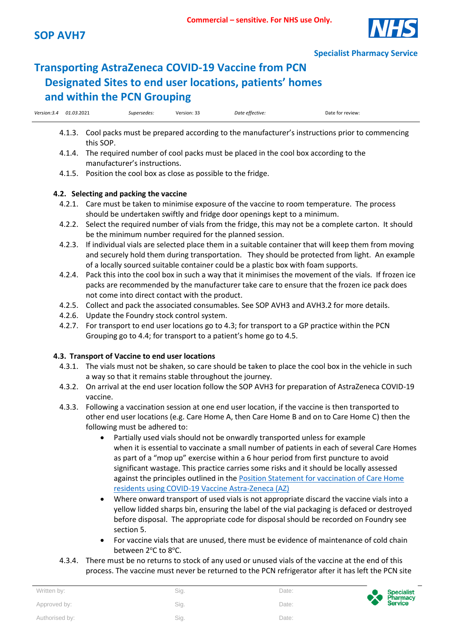

## **Transporting AstraZeneca COVID-19 Vaccine from PCN Designated Sites to end user locations, patients' homes and within the PCN Grouping**

| Version:3.4<br>_____ | 01.03.2021 | supersedes:<br>. | $\sim$<br>Version:<br>. | Date<br>ettective :<br>.<br>. | Jate<br>tor review: |
|----------------------|------------|------------------|-------------------------|-------------------------------|---------------------|
|                      |            |                  |                         |                               |                     |

- 4.1.3. Cool packs must be prepared according to the manufacturer's instructions prior to commencing this SOP.
- 4.1.4. The required number of cool packs must be placed in the cool box according to the manufacturer's instructions.
- 4.1.5. Position the cool box as close as possible to the fridge.

#### **4.2. Selecting and packing the vaccine**

- 4.2.1. Care must be taken to minimise exposure of the vaccine to room temperature. The process should be undertaken swiftly and fridge door openings kept to a minimum.
- 4.2.2. Select the required number of vials from the fridge, this may not be a complete carton. It should be the minimum number required for the planned session.
- 4.2.3. If individual vials are selected place them in a suitable container that will keep them from moving and securely hold them during transportation. They should be protected from light. An example of a locally sourced suitable container could be a plastic box with foam supports.
- 4.2.4. Pack this into the cool box in such a way that it minimises the movement of the vials. If frozen ice packs are recommended by the manufacturer take care to ensure that the frozen ice pack does not come into direct contact with the product.
- 4.2.5. Collect and pack the associated consumables. See SOP AVH3 and AVH3.2 for more details.
- 4.2.6. Update the Foundry stock control system.
- 4.2.7. For transport to end user locations go to 4.3; for transport to a GP practice within the PCN Grouping go to 4.4; for transport to a patient's home go to 4.5.

#### **4.3. Transport of Vaccine to end user locations**

- 4.3.1. The vials must not be shaken, so care should be taken to place the cool box in the vehicle in such a way so that it remains stable throughout the journey.
- 4.3.2. On arrival at the end user location follow the SOP AVH3 for preparation of AstraZeneca COVID-19 vaccine.
- 4.3.3. Following a vaccination session at one end user location, if the vaccine is then transported to other end user locations (e.g. Care Home A, then Care Home B and on to Care Home C) then the following must be adhered to:
	- Partially used vials should not be onwardly transported unless for example when it is essential to vaccinate a small number of patients in each of several Care Homes as part of a "mop up" exercise within a 6 hour period from first puncture to avoid significant wastage. This practice carries some risks and it should be locally assessed against the principles outlined in the [Position Statement for vaccination of Care Home](https://www.england.nhs.uk/coronavirus/publication/position-statement-for-the-vaccination-of-care-home-residents-using-covid-19-vaccine-astrazeneca-az/)  [residents using COVID-19 Vaccine Astra-Zeneca \(AZ\)](https://www.england.nhs.uk/coronavirus/publication/position-statement-for-the-vaccination-of-care-home-residents-using-covid-19-vaccine-astrazeneca-az/)
	- Where onward transport of used vials is not appropriate discard the vaccine vials into a yellow lidded sharps bin, ensuring the label of the vial packaging is defaced or destroyed before disposal. The appropriate code for disposal should be recorded on Foundry see section 5.
	- For vaccine vials that are unused, there must be evidence of maintenance of cold chain between 2°C to 8°C.
- 4.3.4. There must be no returns to stock of any used or unused vials of the vaccine at the end of this process. The vaccine must never be returned to the PCN refrigerator after it has left the PCN site

| Written by:    | Sig. | Date: |
|----------------|------|-------|
| Approved by:   | Sig. | Date: |
| Authorised by: | Sig. | Date: |

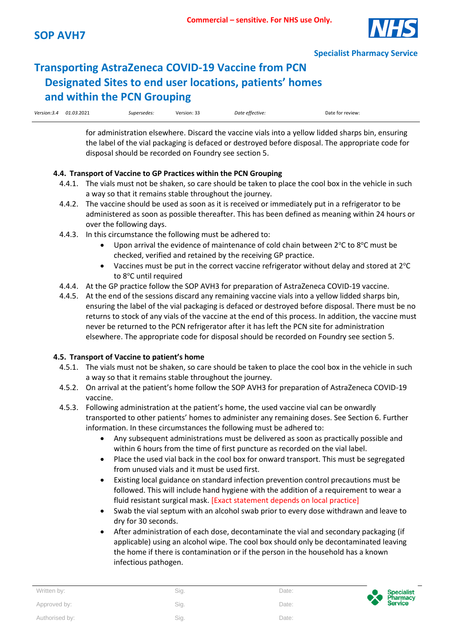

## **Transporting AstraZeneca COVID-19 Vaccine from PCN Designated Sites to end user locations, patients' homes and within the PCN Grouping**

| Version:3.4 01.03.2021 | Supersedes: | Version: 33 | Date effective: | Date for review: |
|------------------------|-------------|-------------|-----------------|------------------|

for administration elsewhere. Discard the vaccine vials into a yellow lidded sharps bin, ensuring the label of the vial packaging is defaced or destroyed before disposal. The appropriate code for disposal should be recorded on Foundry see section 5.

#### **4.4. Transport of Vaccine to GP Practices within the PCN Grouping**

- 4.4.1. The vials must not be shaken, so care should be taken to place the cool box in the vehicle in such a way so that it remains stable throughout the journey.
- 4.4.2. The vaccine should be used as soon as it is received or immediately put in a refrigerator to be administered as soon as possible thereafter. This has been defined as meaning within 24 hours or over the following days.
- 4.4.3. In this circumstance the following must be adhered to:
	- Upon arrival the evidence of maintenance of cold chain between  $2^{\circ}$ C to  $8^{\circ}$ C must be checked, verified and retained by the receiving GP practice.
	- Vaccines must be put in the correct vaccine refrigerator without delay and stored at  $2^{\circ}C$ to 8°C until required
- 4.4.4. At the GP practice follow the SOP AVH3 for preparation of AstraZeneca COVID-19 vaccine.
- 4.4.5. At the end of the sessions discard any remaining vaccine vials into a yellow lidded sharps bin, ensuring the label of the vial packaging is defaced or destroyed before disposal. There must be no returns to stock of any vials of the vaccine at the end of this process. In addition, the vaccine must never be returned to the PCN refrigerator after it has left the PCN site for administration elsewhere. The appropriate code for disposal should be recorded on Foundry see section 5.

#### **4.5. Transport of Vaccine to patient's home**

- 4.5.1. The vials must not be shaken, so care should be taken to place the cool box in the vehicle in such a way so that it remains stable throughout the journey.
- 4.5.2. On arrival at the patient's home follow the SOP AVH3 for preparation of AstraZeneca COVID-19 vaccine.
- 4.5.3. Following administration at the patient's home, the used vaccine vial can be onwardly transported to other patients' homes to administer any remaining doses. See Section 6. Further information. In these circumstances the following must be adhered to:
	- Any subsequent administrations must be delivered as soon as practically possible and within 6 hours from the time of first puncture as recorded on the vial label.
	- Place the used vial back in the cool box for onward transport. This must be segregated from unused vials and it must be used first.
	- Existing local guidance on standard infection prevention control precautions must be followed. This will include hand hygiene with the addition of a requirement to wear a fluid resistant surgical mask. [Exact statement depends on local practice]
	- Swab the vial septum with an alcohol swab prior to every dose withdrawn and leave to dry for 30 seconds.
	- After administration of each dose, decontaminate the vial and secondary packaging (if applicable) using an alcohol wipe. The cool box should only be decontaminated leaving the home if there is contamination or if the person in the household has a known infectious pathogen.

| Written by:    | Sig. | Date: | Specialist<br>Pharmacy<br>Service |
|----------------|------|-------|-----------------------------------|
| Approved by:   | Sig. | Date: |                                   |
| Authorised by: | Sig. | Date: |                                   |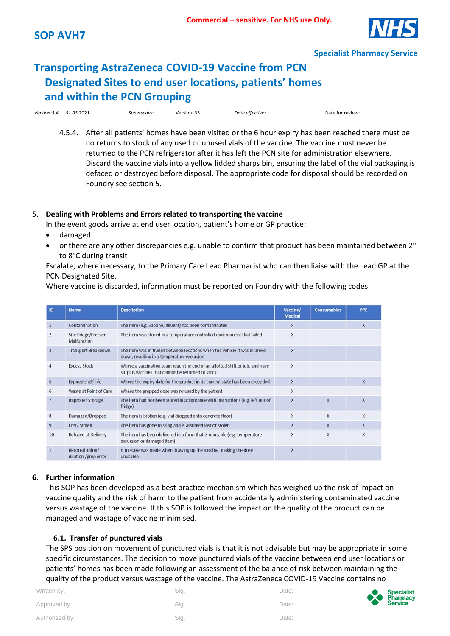

### **Transporting AstraZeneca COVID-19 Vaccine from PCN Designated Sites to end user locations, patients' homes and within the PCN Grouping**

| Version:3.4<br>. | 01.03.2021 | Supersedes:<br>. | $\sim$ $\sim$ $\sim$ $\sim$ $\sim$<br>ـ Version: ک<br>. | Date effective: | Date for review: |
|------------------|------------|------------------|---------------------------------------------------------|-----------------|------------------|
|                  |            |                  |                                                         |                 |                  |

4.5.4. After all patients' homes have been visited or the 6 hour expiry has been reached there must be no returns to stock of any used or unused vials of the vaccine. The vaccine must never be returned to the PCN refrigerator after it has left the PCN site for administration elsewhere. Discard the vaccine vials into a yellow lidded sharps bin, ensuring the label of the vial packaging is defaced or destroyed before disposal. The appropriate code for disposal should be recorded on Foundry see section 5.

#### 5. **Dealing with Problems and Errors related to transporting the vaccine**

In the event goods arrive at end user location, patient's home or GP practice:

- damaged
- or there are any other discrepancies e.g. unable to confirm that product has been maintained between  $2^{\circ}$ to 8°C during transit

Escalate, where necessary, to the Primary Care Lead Pharmacist who can then liaise with the Lead GP at the PCN Designated Site.

Where vaccine is discarded, information must be reported on Foundry with the following codes:

| ID             | <b>Name</b>                             | <b>Description</b>                                                                                                                | Vaccine/<br><b>Medical</b> | <b>Consumables</b>      | PPE                     |
|----------------|-----------------------------------------|-----------------------------------------------------------------------------------------------------------------------------------|----------------------------|-------------------------|-------------------------|
| 1              | Contamination                           | The item (e.g. vaccine, diluent) has been contaminated                                                                            | X                          |                         | $\overline{\mathsf{x}}$ |
| $\overline{2}$ | Site Fridge/Freezer<br>Malfunction      | The item was stored in a temperature controlled environment that failed                                                           | X                          |                         |                         |
| 3              | <b>Transport Breakdown</b>              | The item was in transit between locations when the vehicle it was in broke<br>down, resulting in a temperature excursion          | $\overline{\mathsf{x}}$    |                         |                         |
| 4              | <b>Excess Stock</b>                     | Where a vaccination team reach the end of an allotted shift or job, and have<br>surplus vaccines that cannot be returned to stock | X                          |                         |                         |
| 5              | <b>Expired shelf-life</b>               | Where the expiry date for the product in its current state has been exceeded                                                      | X                          |                         | X                       |
| 6              | Waste at Point of Care                  | Where the prepped dose was refused by the patient                                                                                 | X                          |                         |                         |
| $\overline{7}$ | <b>Improper Storage</b>                 | The item had not been stored in accordance with instructions (e.g. left out of<br>fridge)                                         | $\overline{\mathsf{x}}$    | $\overline{\mathbf{x}}$ | X                       |
| 8              | Damaged/Dropped                         | The item is broken (e.g. vial dropped onto concrete floor)                                                                        | X                          | X                       | X                       |
| $\overline{9}$ | Lost/Stolen                             | The item has gone missing and is assumed lost or stolen                                                                           | X                          | X                       | X                       |
| 10             | <b>Refused at Delivery</b>              | The item has been delivered in a form that is unusable (e.g. temperature<br>excursion or damaged item)                            | X                          | X                       | X                       |
| 11             | Reconstitution/<br>dilution /prep error | A mistake was made when drawing up the vaccine, making the dose<br>unusable                                                       | X                          |                         |                         |

#### **6. Further information**

This SOP has been developed as a best practice mechanism which has weighed up the risk of impact on vaccine quality and the risk of harm to the patient from accidentally administering contaminated vaccine versus wastage of the vaccine. If this SOP is followed the impact on the quality of the product can be managed and wastage of vaccine minimised.

#### **6.1. Transfer of punctured vials**

The SPS position on movement of punctured vials is that it is not advisable but may be appropriate in some specific circumstances. The decision to move punctured vials of the vaccine between end user locations or patients' homes has been made following an assessment of the balance of risk between maintaining the quality of the product versus wastage of the vaccine. The AstraZeneca COVID-19 Vaccine contains no

| Written by:    | Sig. | Date: |
|----------------|------|-------|
| Approved by:   | Sig. | Date: |
| Authorised by: | Sig. | Date: |

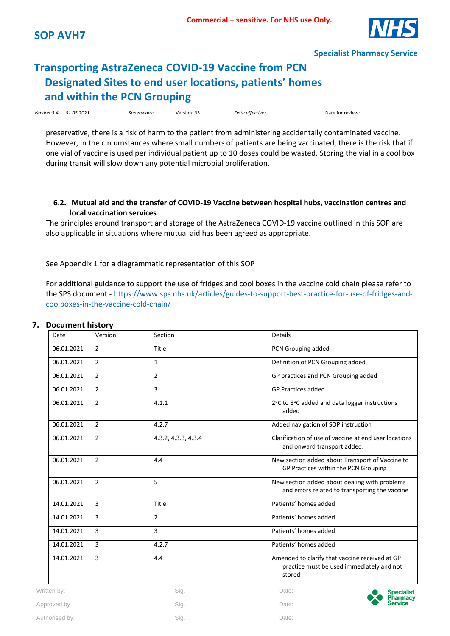## **Transporting AstraZeneca COVID-19 Vaccine from PCN Designated Sites to end user locations, patients' homes and within the PCN Grouping**

| Version: 3.4<br>. | 01.03.2021 | ______<br>Supersedes:<br>. | $\sim$ $\sim$<br>۔ د :Version<br>. | Date effective: | Date for review: |
|-------------------|------------|----------------------------|------------------------------------|-----------------|------------------|
|-------------------|------------|----------------------------|------------------------------------|-----------------|------------------|

preservative, there is a risk of harm to the patient from administering accidentally contaminated vaccine. However, in the circumstances where small numbers of patients are being vaccinated, there is the risk that if one vial of vaccine is used per individual patient up to 10 doses could be wasted. Storing the vial in a cool box during transit will slow down any potential microbial proliferation.

#### **6.2. Mutual aid and the transfer of COVID-19 Vaccine between hospital hubs, vaccination centres and local vaccination services**

The principles around transport and storage of the AstraZeneca COVID-19 vaccine outlined in this SOP are also applicable in situations where mutual aid has been agreed as appropriate.

See Appendix 1 for a diagrammatic representation of this SOP

For additional guidance to support the use of fridges and cool boxes in the vaccine cold chain please refer to the SPS document - [https://www.sps.nhs.uk/articles/guides-to-support-best-practice-for-use-of-fridges-and](https://www.sps.nhs.uk/articles/guides-to-support-best-practice-for-use-of-fridges-and-coolboxes-in-the-vaccine-cold-chain/)[coolboxes-in-the-vaccine-cold-chain/](https://www.sps.nhs.uk/articles/guides-to-support-best-practice-for-use-of-fridges-and-coolboxes-in-the-vaccine-cold-chain/)

#### **7. Document history**

| Date           | Version        | Section             | <b>Details</b>                                                                                        |
|----------------|----------------|---------------------|-------------------------------------------------------------------------------------------------------|
| 06.01.2021     | $\overline{2}$ | Title               | PCN Grouping added                                                                                    |
| 06.01.2021     | $\overline{2}$ | $\mathbf{1}$        | Definition of PCN Grouping added                                                                      |
| 06.01.2021     | $\overline{2}$ | $\overline{2}$      | GP practices and PCN Grouping added                                                                   |
| 06.01.2021     | $\overline{2}$ | 3                   | <b>GP Practices added</b>                                                                             |
| 06.01.2021     | $\overline{2}$ | 4.1.1               | 2°C to 8°C added and data logger instructions<br>added                                                |
| 06.01.2021     | $\overline{2}$ | 4.2.7               | Added navigation of SOP instruction                                                                   |
| 06.01.2021     | $\overline{2}$ | 4.3.2, 4.3.3, 4.3.4 | Clarification of use of vaccine at end user locations<br>and onward transport added.                  |
| 06.01.2021     | $\overline{2}$ | 4.4                 | New section added about Transport of Vaccine to<br>GP Practices within the PCN Grouping               |
| 06.01.2021     | $\overline{2}$ | 5                   | New section added about dealing with problems<br>and errors related to transporting the vaccine       |
| 14.01.2021     | $\overline{3}$ | Title               | Patients' homes added                                                                                 |
| 14.01.2021     | $\overline{3}$ | $\overline{2}$      | Patients' homes added                                                                                 |
| 14.01.2021     | $\overline{3}$ | 3                   | Patients' homes added                                                                                 |
| 14.01.2021     | $\overline{3}$ | 4.2.7               | Patients' homes added                                                                                 |
| 14.01.2021     | $\overline{3}$ | 4.4                 | Amended to clarify that vaccine received at GP<br>practice must be used immediately and not<br>stored |
| Written by:    |                | Sig.                | Date:                                                                                                 |
| Approved by:   |                | Sig.                | Date:                                                                                                 |
| Authorised by: |                | Sig.                | Date:                                                                                                 |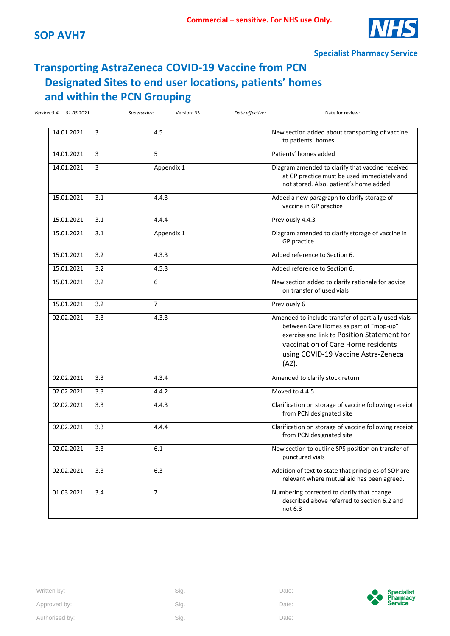

### **Transporting AstraZeneca COVID-19 Vaccine from PCN Designated Sites to end user locations, patients' homes and within the PCN Grouping**

| 14.01.2021 | 3   | 4.5            | New section added about transporting of vaccine<br>to patients' homes                                                                                                                                                                 |
|------------|-----|----------------|---------------------------------------------------------------------------------------------------------------------------------------------------------------------------------------------------------------------------------------|
| 14.01.2021 | 3   | 5              | Patients' homes added                                                                                                                                                                                                                 |
| 14.01.2021 | 3   | Appendix 1     | Diagram amended to clarify that vaccine received<br>at GP practice must be used immediately and<br>not stored. Also, patient's home added                                                                                             |
| 15.01.2021 | 3.1 | 4.4.3          | Added a new paragraph to clarify storage of<br>vaccine in GP practice                                                                                                                                                                 |
| 15.01.2021 | 3.1 | 4.4.4          | Previously 4.4.3                                                                                                                                                                                                                      |
| 15.01.2021 | 3.1 | Appendix 1     | Diagram amended to clarify storage of vaccine in<br>GP practice                                                                                                                                                                       |
| 15.01.2021 | 3.2 | 4.3.3          | Added reference to Section 6.                                                                                                                                                                                                         |
| 15.01.2021 | 3.2 | 4.5.3          | Added reference to Section 6.                                                                                                                                                                                                         |
| 15.01.2021 | 3.2 | 6              | New section added to clarify rationale for advice<br>on transfer of used vials                                                                                                                                                        |
| 15.01.2021 | 3.2 | $\overline{7}$ | Previously 6                                                                                                                                                                                                                          |
| 02.02.2021 | 3.3 | 4.3.3          | Amended to include transfer of partially used vials<br>between Care Homes as part of "mop-up"<br>exercise and link to Position Statement for<br>vaccination of Care Home residents<br>using COVID-19 Vaccine Astra-Zeneca<br>$(AZ)$ . |
| 02.02.2021 | 3.3 | 4.3.4          | Amended to clarify stock return                                                                                                                                                                                                       |
| 02.02.2021 | 3.3 | 4.4.2          | Moved to 4.4.5                                                                                                                                                                                                                        |
| 02.02.2021 | 3.3 | 4.4.3          | Clarification on storage of vaccine following receipt<br>from PCN designated site                                                                                                                                                     |
| 02.02.2021 | 3.3 | 4.4.4          | Clarification on storage of vaccine following receipt<br>from PCN designated site                                                                                                                                                     |
| 02.02.2021 | 3.3 | 6.1            | New section to outline SPS position on transfer of<br>punctured vials                                                                                                                                                                 |
| 02.02.2021 | 3.3 | 6.3            | Addition of text to state that principles of SOP are<br>relevant where mutual aid has been agreed.                                                                                                                                    |
| 01.03.2021 | 3.4 | $\overline{7}$ | Numbering corrected to clarify that change<br>described above referred to section 6.2 and<br>not 6.3                                                                                                                                  |